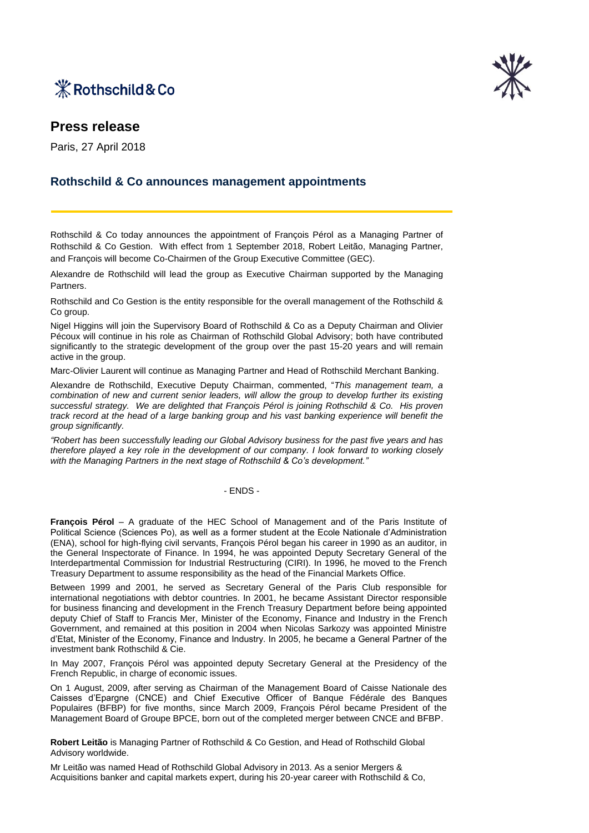



# **Press release**

Paris, 27 April 2018

## **Rothschild & Co announces management appointments**

Rothschild & Co today announces the appointment of François Pérol as a Managing Partner of Rothschild & Co Gestion. With effect from 1 September 2018, Robert Leitão, Managing Partner, and François will become Co-Chairmen of the Group Executive Committee (GEC).

Alexandre de Rothschild will lead the group as Executive Chairman supported by the Managing Partners.

Rothschild and Co Gestion is the entity responsible for the overall management of the Rothschild & Co group.

Nigel Higgins will join the Supervisory Board of Rothschild & Co as a Deputy Chairman and Olivier Pécoux will continue in his role as Chairman of Rothschild Global Advisory; both have contributed significantly to the strategic development of the group over the past 15-20 years and will remain active in the group.

Marc-Olivier Laurent will continue as Managing Partner and Head of Rothschild Merchant Banking.

Alexandre de Rothschild, Executive Deputy Chairman, commented, "*This management team, a combination of new and current senior leaders, will allow the group to develop further its existing successful strategy. We are delighted that François Pérol is joining Rothschild & Co. His proven track record at the head of a large banking group and his vast banking experience will benefit the group significantly.* 

*"Robert has been successfully leading our Global Advisory business for the past five years and has therefore played a key role in the development of our company. I look forward to working closely with the Managing Partners in the next stage of Rothschild & Co's development."* 

#### - ENDS -

**François Pérol** – A graduate of the HEC School of Management and of the Paris Institute of Political Science (Sciences Po), as well as a former student at the Ecole Nationale d'Administration (ENA), school for high-flying civil servants, François Pérol began his career in 1990 as an auditor, in the General Inspectorate of Finance. In 1994, he was appointed Deputy Secretary General of the Interdepartmental Commission for Industrial Restructuring (CIRI). In 1996, he moved to the French Treasury Department to assume responsibility as the head of the Financial Markets Office.

Between 1999 and 2001, he served as Secretary General of the Paris Club responsible for international negotiations with debtor countries. In 2001, he became Assistant Director responsible for business financing and development in the French Treasury Department before being appointed deputy Chief of Staff to Francis Mer, Minister of the Economy, Finance and Industry in the French Government, and remained at this position in 2004 when Nicolas Sarkozy was appointed Ministre d'Etat, Minister of the Economy, Finance and Industry. In 2005, he became a General Partner of the investment bank Rothschild & Cie.

In May 2007, François Pérol was appointed deputy Secretary General at the Presidency of the French Republic, in charge of economic issues.

On 1 August, 2009, after serving as Chairman of the Management Board of Caisse Nationale des Caisses d'Epargne (CNCE) and Chief Executive Officer of Banque Fédérale des Banques Populaires (BFBP) for five months, since March 2009, François Pérol became President of the Management Board of Groupe BPCE, born out of the completed merger between CNCE and BFBP.

**Robert Leitão** is Managing Partner of Rothschild & Co Gestion, and Head of Rothschild Global Advisory worldwide.

Mr Leitão was named Head of Rothschild Global Advisory in 2013. As a senior Mergers & Acquisitions banker and capital markets expert, during his 20-year career with Rothschild & Co,